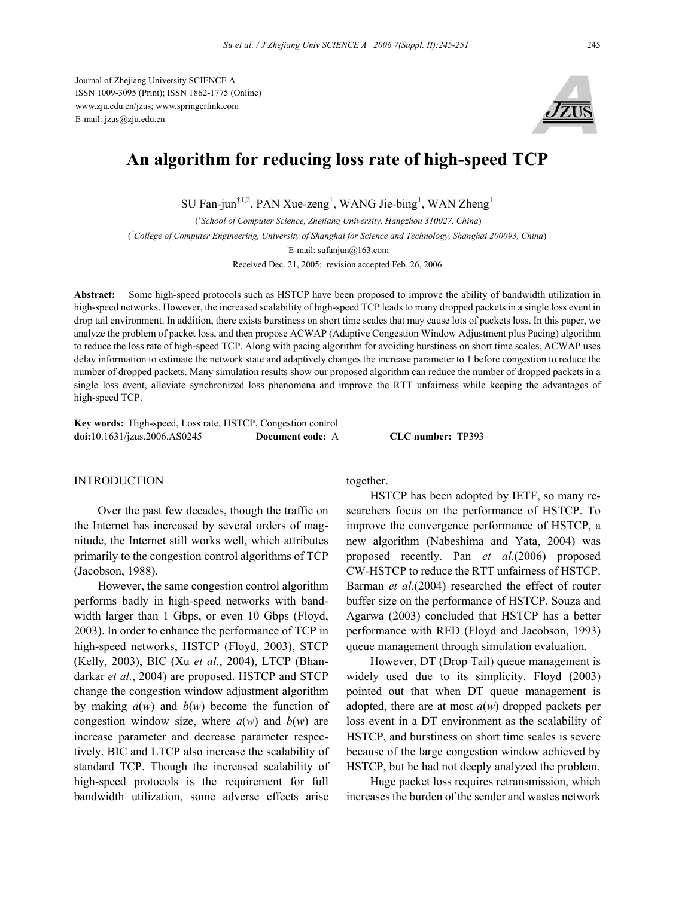

# **An algorithm for reducing loss rate of high-speed TCP**

SU Fan-jun<sup>†1,2</sup>, PAN Xue-zeng<sup>1</sup>, WANG Jie-bing<sup>1</sup>, WAN Zheng<sup>1</sup>

 (*1 School of Computer Science, Zhejiang University, Hangzhou 310027, China*) ( *2 College of Computer Engineering, University of Shanghai for Science and Technology, Shanghai 200093, China*)

† E-mail: sufanjun@163.com

Received Dec. 21, 2005; revision accepted Feb. 26, 2006

**Abstract:** Some high-speed protocols such as HSTCP have been proposed to improve the ability of bandwidth utilization in high-speed networks. However, the increased scalability of high-speed TCP leads to many dropped packets in a single loss event in drop tail environment. In addition, there exists burstiness on short time scales that may cause lots of packets loss. In this paper, we analyze the problem of packet loss, and then propose ACWAP (Adaptive Congestion Window Adjustment plus Pacing) algorithm to reduce the loss rate of high-speed TCP. Along with pacing algorithm for avoiding burstiness on short time scales, ACWAP uses delay information to estimate the network state and adaptively changes the increase parameter to 1 before congestion to reduce the number of dropped packets. Many simulation results show our proposed algorithm can reduce the number of dropped packets in a single loss event, alleviate synchronized loss phenomena and improve the RTT unfairness while keeping the advantages of high-speed TCP.

**Key words:** High-speed, Loss rate, HSTCP, Congestion control **doi:**10.1631/jzus.2006.AS0245 **Document code:** A **CLC number:** TP393

## **INTRODUCTION**

Over the past few decades, though the traffic on the Internet has increased by several orders of magnitude, the Internet still works well, which attributes primarily to the congestion control algorithms of TCP (Jacobson, 1988).

However, the same congestion control algorithm performs badly in high-speed networks with bandwidth larger than 1 Gbps, or even 10 Gbps (Floyd, 2003). In order to enhance the performance of TCP in high-speed networks, HSTCP (Floyd, 2003), STCP (Kelly, 2003), BIC (Xu *et al*., 2004), LTCP (Bhandarkar *et al.*, 2004) are proposed. HSTCP and STCP change the congestion window adjustment algorithm by making  $a(w)$  and  $b(w)$  become the function of congestion window size, where  $a(w)$  and  $b(w)$  are increase parameter and decrease parameter respectively. BIC and LTCP also increase the scalability of standard TCP. Though the increased scalability of high-speed protocols is the requirement for full bandwidth utilization, some adverse effects arise together.

HSTCP has been adopted by IETF, so many researchers focus on the performance of HSTCP. To improve the convergence performance of HSTCP, a new algorithm (Nabeshima and Yata, 2004) was proposed recently. Pan *et al*.(2006) proposed CW-HSTCP to reduce the RTT unfairness of HSTCP. Barman *et al*.(2004) researched the effect of router buffer size on the performance of HSTCP. Souza and Agarwa (2003) concluded that HSTCP has a better performance with RED (Floyd and Jacobson, 1993) queue management through simulation evaluation.

However, DT (Drop Tail) queue management is widely used due to its simplicity. Floyd (2003) pointed out that when DT queue management is adopted, there are at most *a*(*w*) dropped packets per loss event in a DT environment as the scalability of HSTCP, and burstiness on short time scales is severe because of the large congestion window achieved by HSTCP, but he had not deeply analyzed the problem.

Huge packet loss requires retransmission, which increases the burden of the sender and wastes network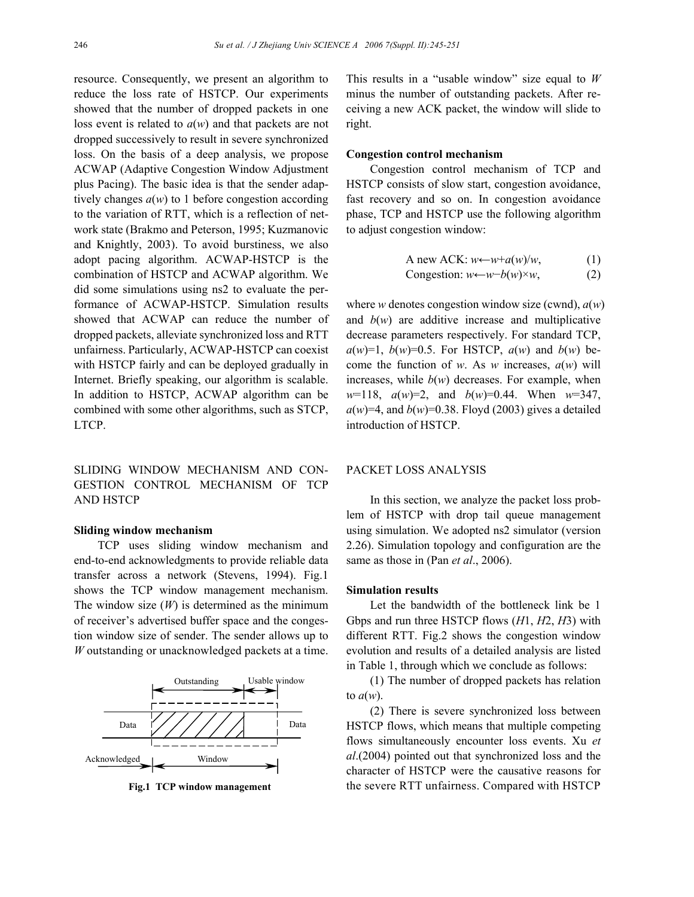resource. Consequently, we present an algorithm to reduce the loss rate of HSTCP. Our experiments showed that the number of dropped packets in one loss event is related to *a*(*w*) and that packets are not dropped successively to result in severe synchronized loss. On the basis of a deep analysis, we propose ACWAP (Adaptive Congestion Window Adjustment plus Pacing). The basic idea is that the sender adaptively changes *a*(*w*) to 1 before congestion according to the variation of RTT, which is a reflection of network state (Brakmo and Peterson, 1995; Kuzmanovic and Knightly, 2003). To avoid burstiness, we also adopt pacing algorithm. ACWAP-HSTCP is the combination of HSTCP and ACWAP algorithm. We did some simulations using ns2 to evaluate the performance of ACWAP-HSTCP. Simulation results showed that ACWAP can reduce the number of dropped packets, alleviate synchronized loss and RTT unfairness. Particularly, ACWAP-HSTCP can coexist with HSTCP fairly and can be deployed gradually in Internet. Briefly speaking, our algorithm is scalable. In addition to HSTCP, ACWAP algorithm can be combined with some other algorithms, such as STCP, LTCP.

SLIDING WINDOW MECHANISM AND CON-GESTION CONTROL MECHANISM OF TCP AND HSTCP

## **Sliding window mechanism**

TCP uses sliding window mechanism and end-to-end acknowledgments to provide reliable data transfer across a network (Stevens, 1994). Fig.1 shows the TCP window management mechanism. The window size (*W*) is determined as the minimum of receiver's advertised buffer space and the congestion window size of sender. The sender allows up to *W* outstanding or unacknowledged packets at a time.



**Fig.1 TCP window management**

This results in a "usable window" size equal to *W* minus the number of outstanding packets. After receiving a new ACK packet, the window will slide to right.

#### **Congestion control mechanism**

Congestion control mechanism of TCP and HSTCP consists of slow start, congestion avoidance, fast recovery and so on. In congestion avoidance phase, TCP and HSTCP use the following algorithm to adjust congestion window:

A new ACK: 
$$
w \leftarrow w + a(w)/w
$$
, (1)  
Consestion:  $w \leftarrow w - b(w) \times w$ , (2)

where *w* denotes congestion window size (cwnd), *a*(*w*) and  $b(w)$  are additive increase and multiplicative decrease parameters respectively. For standard TCP,  $a(w)=1$ ,  $b(w)=0.5$ . For HSTCP,  $a(w)$  and  $b(w)$  become the function of *w*. As *w* increases, *a*(*w*) will increases, while  $b(w)$  decreases. For example, when *w*=118, *a*(*w*)=2, and *b*(*w*)=0.44. When *w*=347,  $a(w)=4$ , and  $b(w)=0.38$ . Floyd (2003) gives a detailed introduction of HSTCP.

# PACKET LOSS ANALYSIS

In this section, we analyze the packet loss problem of HSTCP with drop tail queue management using simulation. We adopted ns2 simulator (version 2.26). Simulation topology and configuration are the same as those in (Pan *et al*., 2006).

## **Simulation results**

Let the bandwidth of the bottleneck link be 1 Gbps and run three HSTCP flows (*H*1, *H*2, *H*3) with different RTT. Fig.2 shows the congestion window evolution and results of a detailed analysis are listed in Table 1, through which we conclude as follows:

(1) The number of dropped packets has relation to *a*(*w*).

(2) There is severe synchronized loss between HSTCP flows, which means that multiple competing flows simultaneously encounter loss events. Xu *et al*.(2004) pointed out that synchronized loss and the character of HSTCP were the causative reasons for the severe RTT unfairness. Compared with HSTCP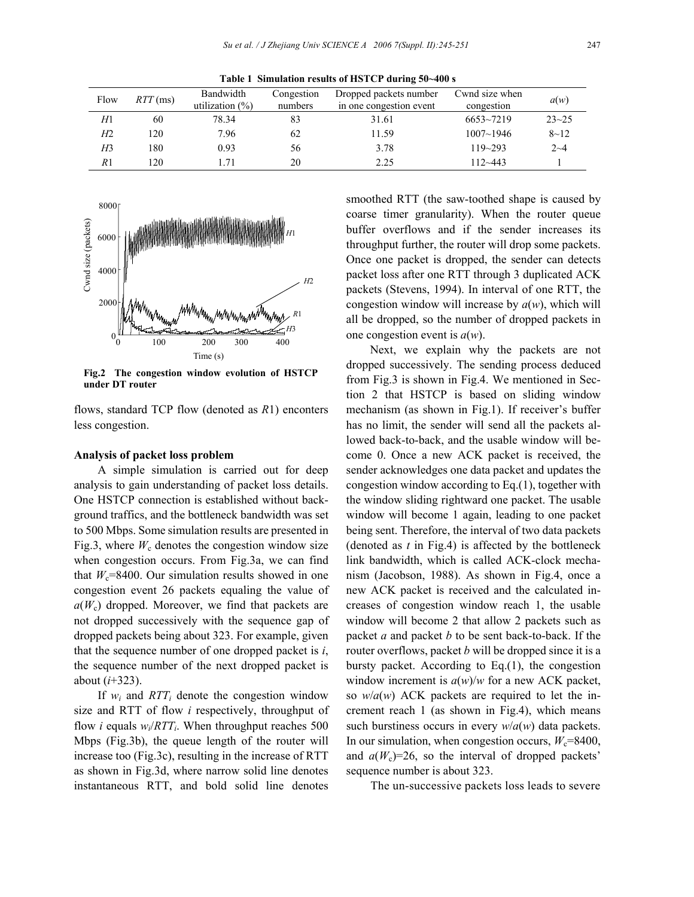**Table 1 Simulation results of HSTCP during 50~400 s** 

| Flow | $RTT$ (ms) | Bandwidth<br>utilization $(\% )$ | Congestion<br>numbers | Dropped packets number<br>in one congestion event | Cwnd size when<br>congestion | a(w)      |
|------|------------|----------------------------------|-----------------------|---------------------------------------------------|------------------------------|-----------|
| H1   | 60         | 78.34                            | 83                    | 31.61                                             | $6653 - 7219$                | $23 - 25$ |
| H2   | 120        | 7.96                             | 62                    | 11.59                                             | $1007 - 1946$                | $8 - 12$  |
| H3   | 180        | 0.93                             | 56                    | 3.78                                              | $119 - 293$                  | $2 - 4$   |
| R1   | 120        | l 71                             | 20                    | 2.25                                              | $112 - 443$                  |           |



**Fig.2 The congestion window evolution of HSTCP under DT router** 

flows, standard TCP flow (denoted as *R*1) enconters less congestion.

## **Analysis of packet loss problem**

A simple simulation is carried out for deep analysis to gain understanding of packet loss details. One HSTCP connection is established without background traffics, and the bottleneck bandwidth was set to 500 Mbps. Some simulation results are presented in Fig.3, where  $W_c$  denotes the congestion window size when congestion occurs. From Fig.3a, we can find that  $W_c$ =8400. Our simulation results showed in one congestion event 26 packets equaling the value of  $a(W_c)$  dropped. Moreover, we find that packets are not dropped successively with the sequence gap of dropped packets being about 323. For example, given that the sequence number of one dropped packet is *i*, the sequence number of the next dropped packet is about (*i*+323).

If  $w_i$  and  $RTT_i$  denote the congestion window size and RTT of flow *i* respectively, throughput of flow *i* equals  $w_i/RTT_i$ . When throughput reaches 500 Mbps (Fig.3b), the queue length of the router will increase too (Fig.3c), resulting in the increase of RTT as shown in Fig.3d, where narrow solid line denotes instantaneous RTT, and bold solid line denotes

smoothed RTT (the saw-toothed shape is caused by coarse timer granularity). When the router queue buffer overflows and if the sender increases its throughput further, the router will drop some packets. Once one packet is dropped, the sender can detects packet loss after one RTT through 3 duplicated ACK packets (Stevens, 1994). In interval of one RTT, the congestion window will increase by *a*(*w*), which will all be dropped, so the number of dropped packets in one congestion event is *a*(*w*).

Next, we explain why the packets are not dropped successively. The sending process deduced from Fig.3 is shown in Fig.4. We mentioned in Section 2 that HSTCP is based on sliding window mechanism (as shown in Fig.1). If receiver's buffer has no limit, the sender will send all the packets allowed back-to-back, and the usable window will become 0. Once a new ACK packet is received, the sender acknowledges one data packet and updates the congestion window according to Eq.(1), together with the window sliding rightward one packet. The usable window will become 1 again, leading to one packet being sent. Therefore, the interval of two data packets (denoted as *t* in Fig.4) is affected by the bottleneck link bandwidth, which is called ACK-clock mechanism (Jacobson, 1988). As shown in Fig.4, once a new ACK packet is received and the calculated increases of congestion window reach 1, the usable window will become 2 that allow 2 packets such as packet *a* and packet *b* to be sent back-to-back. If the router overflows, packet *b* will be dropped since it is a bursty packet. According to Eq.(1), the congestion window increment is *a*(*w*)/*w* for a new ACK packet, so *w*/*a*(*w*) ACK packets are required to let the increment reach 1 (as shown in Fig.4), which means such burstiness occurs in every *w*/*a*(*w*) data packets. In our simulation, when congestion occurs,  $W_c$ =8400, and  $a(W_c)=26$ , so the interval of dropped packets' sequence number is about 323.

The un-successive packets loss leads to severe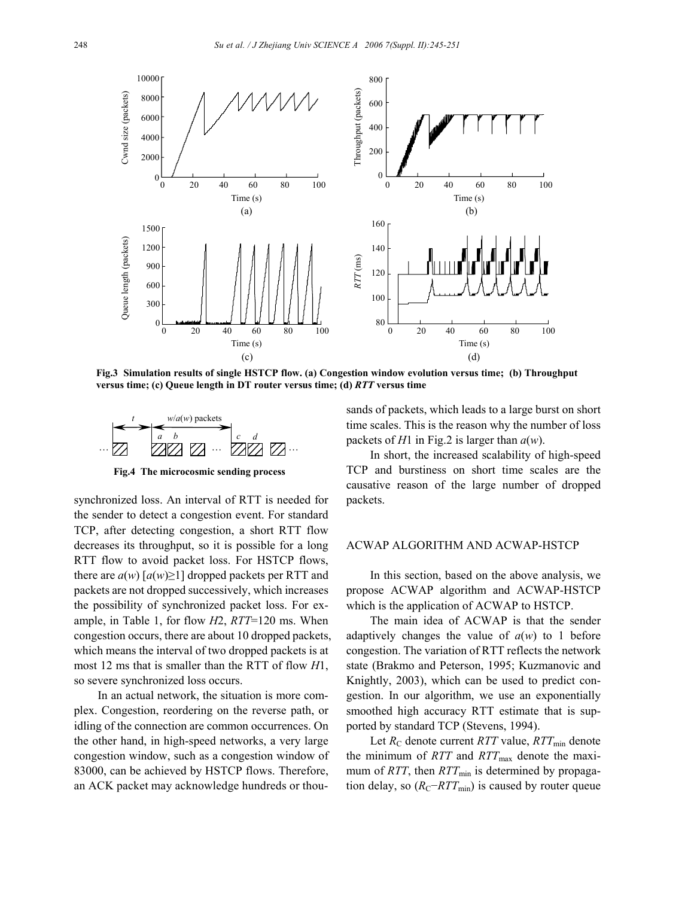

**Fig.3 Simulation results of single HSTCP flow. (a) Congestion window evolution versus time; (b) Throughput versus time; (c) Queue length in DT router versus time; (d)** *RTT* **versus time**



**Fig.4 The microcosmic sending process**

synchronized loss. An interval of RTT is needed for the sender to detect a congestion event. For standard TCP, after detecting congestion, a short RTT flow decreases its throughput, so it is possible for a long RTT flow to avoid packet loss. For HSTCP flows, there are  $a(w)$  [ $a(w) \ge 1$ ] dropped packets per RTT and packets are not dropped successively, which increases the possibility of synchronized packet loss. For example, in Table 1, for flow *H*2, *RTT*=120 ms. When congestion occurs, there are about 10 dropped packets, which means the interval of two dropped packets is at most 12 ms that is smaller than the RTT of flow *H*1, so severe synchronized loss occurs.

In an actual network, the situation is more complex. Congestion, reordering on the reverse path, or idling of the connection are common occurrences. On the other hand, in high-speed networks, a very large congestion window, such as a congestion window of 83000, can be achieved by HSTCP flows. Therefore, an ACK packet may acknowledge hundreds or thousands of packets, which leads to a large burst on short time scales. This is the reason why the number of loss packets of *H*1 in Fig.2 is larger than *a*(*w*).

In short, the increased scalability of high-speed TCP and burstiness on short time scales are the causative reason of the large number of dropped packets.

# ACWAP ALGORITHM AND ACWAP-HSTCP

In this section, based on the above analysis, we propose ACWAP algorithm and ACWAP-HSTCP which is the application of ACWAP to HSTCP.

The main idea of ACWAP is that the sender adaptively changes the value of  $a(w)$  to 1 before congestion. The variation of RTT reflects the network state (Brakmo and Peterson, 1995; Kuzmanovic and Knightly, 2003), which can be used to predict congestion. In our algorithm, we use an exponentially smoothed high accuracy RTT estimate that is supported by standard TCP (Stevens, 1994).

Let  $R_C$  denote current *RTT* value, *RTT*<sub>min</sub> denote the minimum of *RTT* and *RTT*<sub>max</sub> denote the maximum of *RTT*, then  $RTT_{min}$  is determined by propagation delay, so  $(R_C-RTT_{min})$  is caused by router queue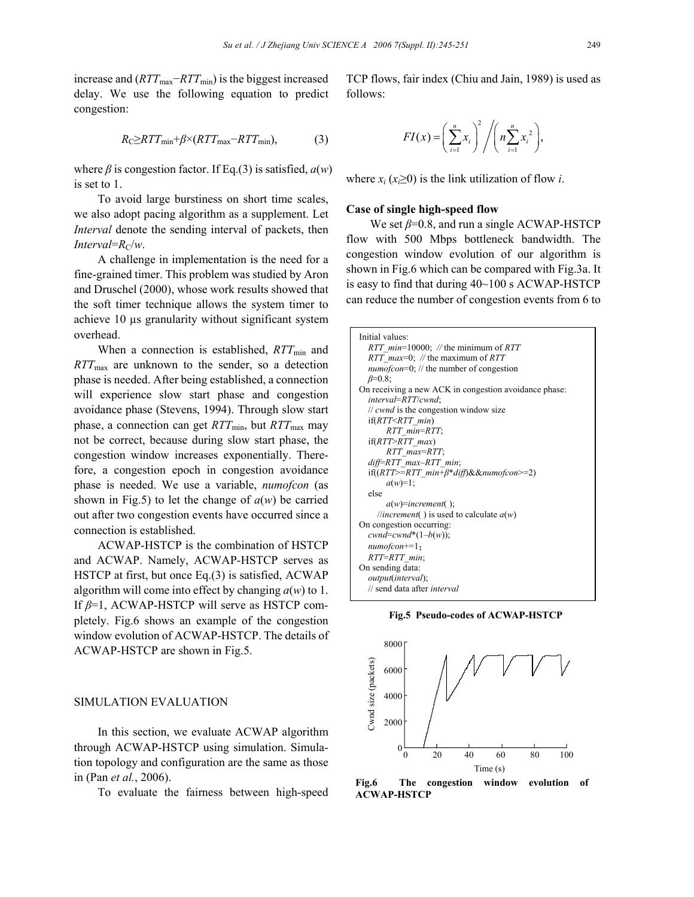increase and (*RTT*<sub>max</sub>−*RTT*<sub>min</sub>) is the biggest increased delay. We use the following equation to predict congestion:

$$
R_{\rm C} \geq RTT_{\rm min} + \beta \times (RTT_{\rm max} - RTT_{\rm min}),\tag{3}
$$

where *β* is congestion factor. If Eq.(3) is satisfied, *a*(*w*) is set to 1.

To avoid large burstiness on short time scales, we also adopt pacing algorithm as a supplement. Let *Interval* denote the sending interval of packets, then *Interval*= $R_c/w$ .

A challenge in implementation is the need for a fine-grained timer. This problem was studied by Aron and Druschel (2000), whose work results showed that the soft timer technique allows the system timer to achieve 10 µs granularity without significant system overhead.

When a connection is established, *RTT*<sub>min</sub> and *RTT*max are unknown to the sender, so a detection phase is needed. After being established, a connection will experience slow start phase and congestion avoidance phase (Stevens, 1994). Through slow start phase, a connection can get *RTT*<sub>min</sub>, but *RTT*<sub>max</sub> may not be correct, because during slow start phase, the congestion window increases exponentially. Therefore, a congestion epoch in congestion avoidance phase is needed. We use a variable, *numofcon* (as shown in Fig.5) to let the change of  $a(w)$  be carried out after two congestion events have occurred since a connection is established.

ACWAP-HSTCP is the combination of HSTCP and ACWAP. Namely, ACWAP-HSTCP serves as HSTCP at first, but once Eq.(3) is satisfied, ACWAP algorithm will come into effect by changing *a*(*w*) to 1. If *β*=1, ACWAP-HSTCP will serve as HSTCP completely. Fig.6 shows an example of the congestion window evolution of ACWAP-HSTCP. The details of ACWAP-HSTCP are shown in Fig.5.

### SIMULATION EVALUATION

In this section, we evaluate ACWAP algorithm through ACWAP-HSTCP using simulation. Simulation topology and configuration are the same as those in (Pan *et al.*, 2006).

To evaluate the fairness between high-speed

TCP flows, fair index (Chiu and Jain, 1989) is used as follows:

$$
FI(x) = \left(\sum_{i=1}^n x_i\right)^2 / \left(n \sum_{i=1}^n x_i^2\right),
$$

where  $x_i$  ( $x_i \ge 0$ ) is the link utilization of flow *i*.

#### **Case of single high-speed flow**

We set *β*=0.8, and run a single ACWAP-HSTCP flow with 500 Mbps bottleneck bandwidth. The congestion window evolution of our algorithm is shown in Fig.6 which can be compared with Fig.3a. It is easy to find that during 40~100 s ACWAP-HSTCP can reduce the number of congestion events from 6 to

| Initial values:                                       |  |  |  |  |  |  |
|-------------------------------------------------------|--|--|--|--|--|--|
| RTT $min=10000$ ; // the minimum of RTT               |  |  |  |  |  |  |
| RTT $max=0$ ; // the maximum of RTT                   |  |  |  |  |  |  |
| <i>numofcon</i> =0; // the number of congestion       |  |  |  |  |  |  |
| $\beta = 0.8$ ;                                       |  |  |  |  |  |  |
| On receiving a new ACK in congestion avoidance phase: |  |  |  |  |  |  |
| interval=RTT/cwnd;                                    |  |  |  |  |  |  |
| // cwnd is the congestion window size                 |  |  |  |  |  |  |
| if(RTT < RTT min)                                     |  |  |  |  |  |  |
| RTT min=RTT;                                          |  |  |  |  |  |  |
| $if(RTT > RTT$ max)                                   |  |  |  |  |  |  |
| RTT max=RTT;                                          |  |  |  |  |  |  |
| diff=RTT max-RTT min;                                 |  |  |  |  |  |  |
| if( $(RTT>=RTT$ min+ $\beta^*$ diff)&&numofcon>=2)    |  |  |  |  |  |  |
| $a(w)=1$ :                                            |  |  |  |  |  |  |
| else                                                  |  |  |  |  |  |  |
| $a(w)$ =increment();                                  |  |  |  |  |  |  |
| //increment() is used to calculate $a(w)$             |  |  |  |  |  |  |
| On congestion occurring:                              |  |  |  |  |  |  |
| cwnd=cwnd*(1-b(w));                                   |  |  |  |  |  |  |
| $numo fcon+=1$ ;                                      |  |  |  |  |  |  |
| RTT=RTT min;                                          |  |  |  |  |  |  |
| On sending data:                                      |  |  |  |  |  |  |
| <i>output(interval)</i> ;                             |  |  |  |  |  |  |
| // send data after <i>interval</i>                    |  |  |  |  |  |  |
|                                                       |  |  |  |  |  |  |

**Fig.5 Pseudo-codes of ACWAP-HSTCP**



**Fig.6 The congestion window evolution of ACWAP-HSTCP**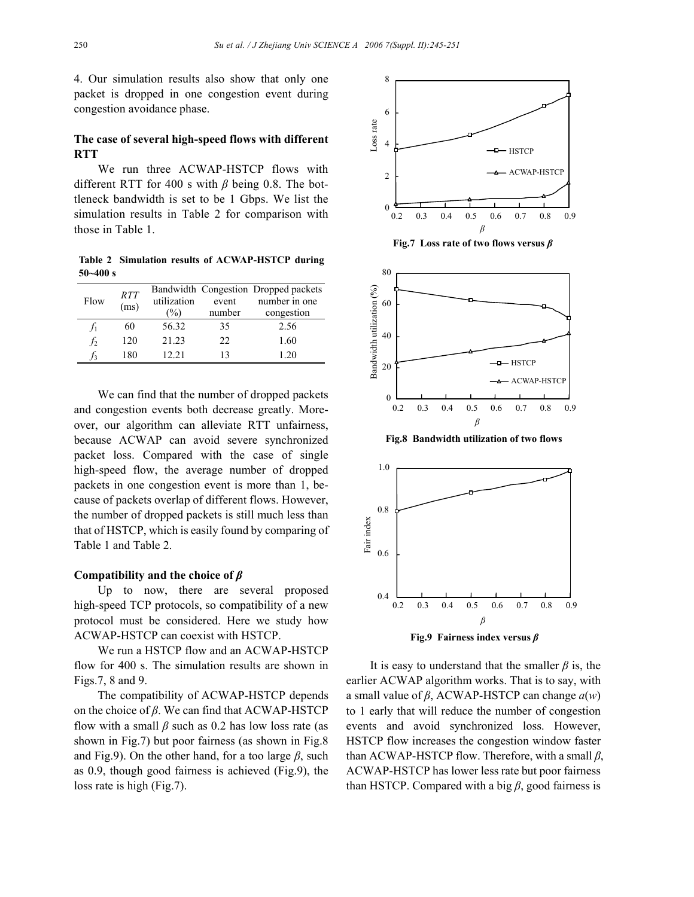4. Our simulation results also show that only one packet is dropped in one congestion event during congestion avoidance phase.

# **The case of several high-speed flows with different RTT**

We run three ACWAP-HSTCP flows with different RTT for 400 s with *β* being 0.8. The bottleneck bandwidth is set to be 1 Gbps. We list the simulation results in Table 2 for comparison with those in Table 1.

**Table 2 Simulation results of ACWAP-HSTCP during 50~400 s** 

| Flow  | <b>RTT</b><br>(ms) | utilization<br>$\%$ | event<br>number | Bandwidth Congestion Dropped packets<br>number in one<br>congestion |
|-------|--------------------|---------------------|-----------------|---------------------------------------------------------------------|
| $f_1$ | 60                 | 56.32               | 35              | 2.56                                                                |
| $f_2$ | 120                | 21.23               | 22.             | 1.60                                                                |
|       | 180                | 12.21               | 13              | 120                                                                 |

We can find that the number of dropped packets and congestion events both decrease greatly. Moreover, our algorithm can alleviate RTT unfairness, because ACWAP can avoid severe synchronized packet loss. Compared with the case of single high-speed flow, the average number of dropped packets in one congestion event is more than 1, because of packets overlap of different flows. However, the number of dropped packets is still much less than that of HSTCP, which is easily found by comparing of Table 1 and Table 2.

## **Compatibility and the choice of** *β*

Up to now, there are several proposed high-speed TCP protocols, so compatibility of a new protocol must be considered. Here we study how ACWAP-HSTCP can coexist with HSTCP.

We run a HSTCP flow and an ACWAP-HSTCP flow for 400 s. The simulation results are shown in Figs.7, 8 and 9.

The compatibility of ACWAP-HSTCP depends on the choice of *β*. We can find that ACWAP-HSTCP flow with a small *β* such as 0.2 has low loss rate (as shown in Fig.7) but poor fairness (as shown in Fig.8 and Fig.9). On the other hand, for a too large  $\beta$ , such as 0.9, though good fairness is achieved (Fig.9), the loss rate is high (Fig.7).



It is easy to understand that the smaller  $\beta$  is, the earlier ACWAP algorithm works. That is to say, with a small value of *β*, ACWAP-HSTCP can change *a*(*w*) to 1 early that will reduce the number of congestion events and avoid synchronized loss. However, HSTCP flow increases the congestion window faster than ACWAP-HSTCP flow. Therefore, with a small *β*, ACWAP-HSTCP has lower less rate but poor fairness than HSTCP. Compared with a big *β*, good fairness is